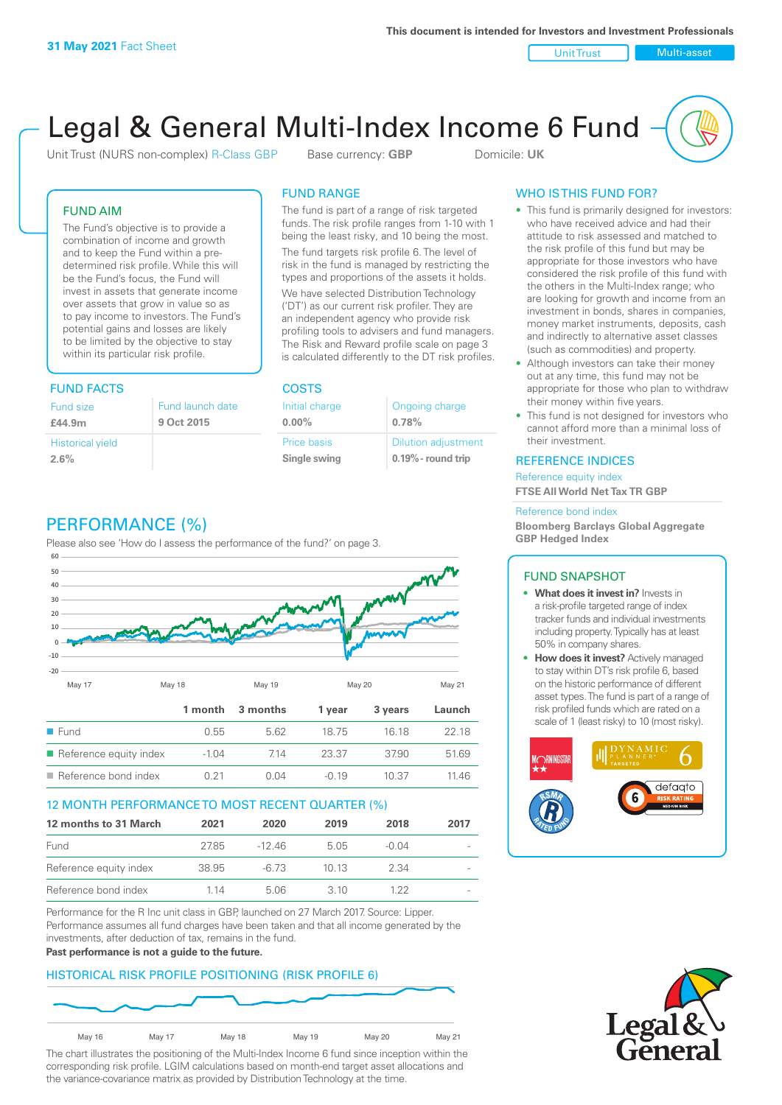Unit Trust Nulti-asset

# Legal & General Multi-Index Income 6 Fund

Unit Trust (NURS non-complex) R-Class GBP Base currency: **GBP** Domicile: UK

## FUND AIM

The Fund's objective is to provide a combination of income and growth and to keep the Fund within a predetermined risk profile. While this will be the Fund's focus, the Fund will invest in assets that generate income over assets that grow in value so as to pay income to investors. The Fund's potential gains and losses are likely to be limited by the objective to stay within its particular risk profile.

## FUND FACTS COSTS

| Fund size<br>£44.9m     | Fund launch date<br>9 Oct 2015 |
|-------------------------|--------------------------------|
| <b>Historical yield</b> |                                |
| 2.6%                    |                                |

## FUND RANGE

The fund is part of a range of risk targeted funds. The risk profile ranges from 1-10 with 1 being the least risky, and 10 being the most.

The fund targets risk profile 6. The level of risk in the fund is managed by restricting the types and proportions of the assets it holds. We have selected Distribution Technology ('DT') as our current risk profiler. They are an independent agency who provide risk profiling tools to advisers and fund managers. The Risk and Reward profile scale on page 3 is calculated differently to the DT risk profiles.

| Initial charge | Ongoing charge             |
|----------------|----------------------------|
| $0.00\%$       | 0.78%                      |
| Price basis    | <b>Dilution adjustment</b> |
| Single swing   | $0.19\%$ - round trip      |

## WHO IS THIS FUND FOR?

- This fund is primarily designed for investors: who have received advice and had their attitude to risk assessed and matched to the risk profile of this fund but may be appropriate for those investors who have considered the risk profile of this fund with the others in the Multi-Index range; who are looking for growth and income from an investment in bonds, shares in companies, money market instruments, deposits, cash and indirectly to alternative asset classes (such as commodities) and property.
- Although investors can take their money out at any time, this fund may not be appropriate for those who plan to withdraw their money within five years.
- This fund is not designed for investors who cannot afford more than a minimal loss of their investment.

## REFERENCE INDICES

Reference equity index **FTSE All World Net Tax TR GBP**

#### Reference bond index

**Bloomberg Barclays Global Aggregate GBP Hedged Index**

## FUND SNAPSHOT

- **• What does it invest in?** Invests in a risk-profile targeted range of index tracker funds and individual investments including property. Typically has at least 50% in company shares.
- **• How does it invest?** Actively managed to stay within DT's risk profile 6, based on the historic performance of different asset types. The fund is part of a range of risk profiled funds which are rated on a scale of 1 (least risky) to 10 (most risky).





## PERFORMANCE (%)

Please also see 'How do I assess the performance of the fund?' on page 3.



## 12 MONTH PERFORMANCE TO MOST RECENT QUARTER (%)

| 12 months to 31 March  | 2021  | 2020  | 2019 | 2018    | 2017                     |
|------------------------|-------|-------|------|---------|--------------------------|
| Fund                   | 2785  | -1246 | 505  | $-0.04$ | $\overline{\phantom{a}}$ |
| Reference equity index | 38.95 | -6.73 | 1013 | 2.34    | $\sim$                   |
| Reference bond index   | 1 14  | 5.06  | 3 10 | 1 22    |                          |

Performance for the R Inc unit class in GBP, launched on 27 March 2017. Source: Lipper. Performance assumes all fund charges have been taken and that all income generated by the investments, after deduction of tax, remains in the fund.

#### **Past performance is not a guide to the future.**

## HISTORICAL RISK PROFILE POSITIONING (RISK PROFILE 6)



The chart illustrates the positioning of the Multi-Index Income 6 fund since inception within the corresponding risk profile. LGIM calculations based on month-end target asset allocations and the variance-covariance matrix as provided by Distribution Technology at the time.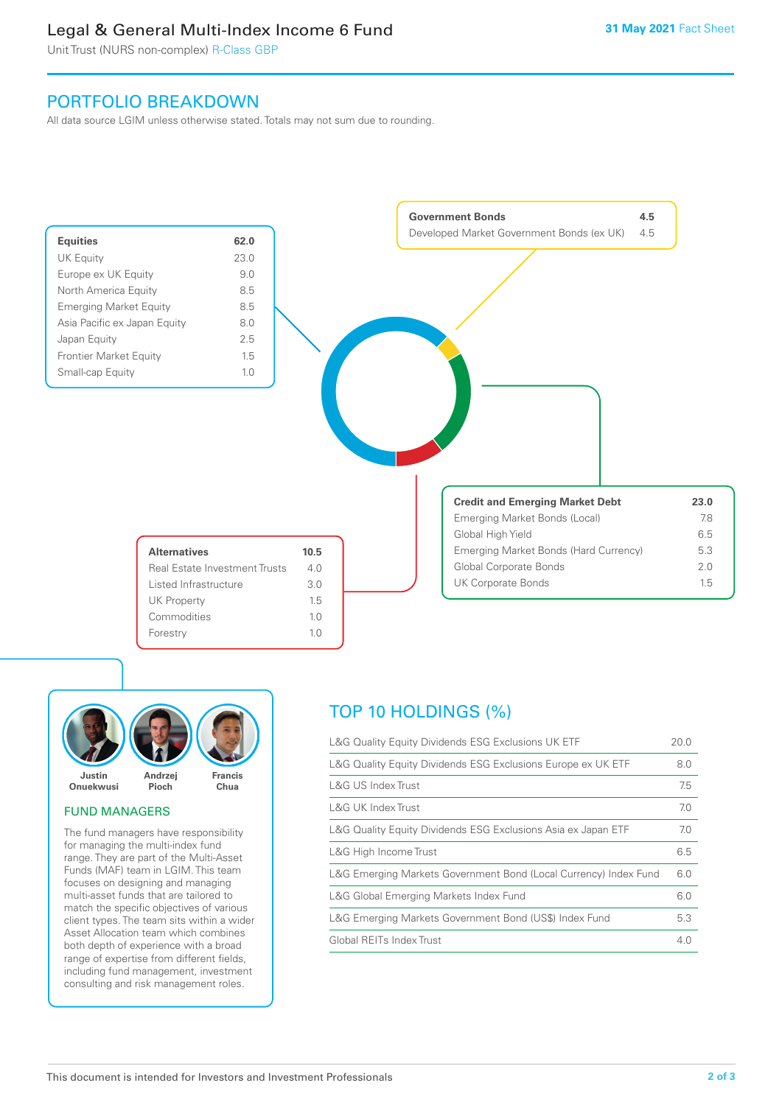## Legal & General Multi-Index Income 6 Fund

Unit Trust (NURS non-complex) R-Class GBP

## PORTFOLIO BREAKDOWN

All data source LGIM unless otherwise stated. Totals may not sum due to rounding.





## FUND MANAGERS

The fund managers have responsibility for managing the multi-index fund range. They are part of the Multi-Asset Funds (MAF) team in LGIM. This team focuses on designing and managing multi-asset funds that are tailored to match the specific objectives of various client types. The team sits within a wider Asset Allocation team which combines both depth of experience with a broad range of expertise from different fields, including fund management, investment consulting and risk management roles.

## TOP 10 HOLDINGS (%)

| L&G Quality Equity Dividends ESG Exclusions UK ETF               | 20.0 |
|------------------------------------------------------------------|------|
| L&G Quality Equity Dividends ESG Exclusions Europe ex UK ETF     | 8.0  |
| L&G US Index Trust                                               | 7.5  |
| <b>L&amp;G UK Index Trust</b>                                    | 7.0  |
| L&G Quality Equity Dividends ESG Exclusions Asia ex Japan ETF    | 7.0  |
| L&G High Income Trust                                            | 6.5  |
| L&G Emerging Markets Government Bond (Local Currency) Index Fund | 6.0  |
| L&G Global Emerging Markets Index Fund                           | 6.0  |
| L&G Emerging Markets Government Bond (US\$) Index Fund           | 5.3  |
| Global REITs Index Trust                                         | 4.0  |